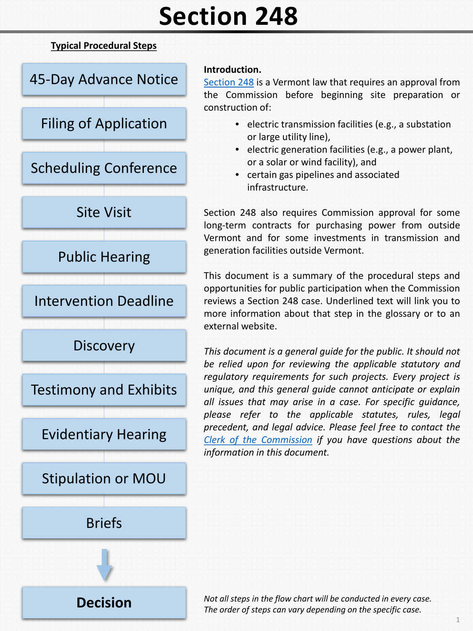# **Section 248**

### **Typical Procedural Steps**



**[Decision](#page-3-0)**

#### **Introduction.**

[Section](http://legislature.vermont.gov/statutes/section/30/005/00248) 248 is a Vermont law that requires an approval from the Commission before beginning site preparation or construction of:

- electric transmission facilities (e.g., a substation or large utility line),
- electric generation facilities (e.g., a power plant, or a solar or wind facility), and
- certain gas pipelines and associated infrastructure.

Section 248 also requires Commission approval for some long-term contracts for purchasing power from outside Vermont and for some investments in transmission and generation facilities outside Vermont.

This document is a summary of the procedural steps and opportunities for public participation when the Commission reviews a Section 248 case. Underlined text will link you to more information about that step in the glossary or to an external website.

*This document is a general guide for the public. It should not be relied upon for reviewing the applicable statutory and regulatory requirements for such projects. Every project is unique, and this general guide cannot anticipate or explain all issues that may arise in a case. For specific guidance, please refer to the applicable statutes, rules, legal precedent, and legal advice. Please feel free to contact the Clerk of the [Commission](mailto:puc.clerk@vermont.gov?subject=Section%20248%20Question) if you have questions about the information in this document.*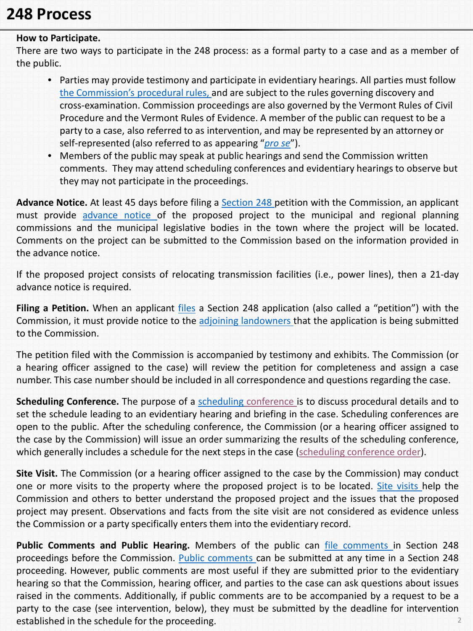## <span id="page-1-0"></span>**248 Process**

#### **How to Participate.**

There are two ways to participate in the 248 process: as a formal party to a case and as a member of the public.

- Parties may provide testimony and participate in evidentiary hearings. All parties must follow [the Commission's procedural rules, a](http://puc.vermont.gov/about-us/statutes-and-rules)nd are subject to the rules governing discovery and cross-examination. Commission proceedings are also governed by the Vermont Rules of Civil Procedure and the Vermont Rules of Evidence. A member of the public can request to be a party to a case, also referred to as intervention, and may be represented by an attorney or self-represented (also referred to as appearing "*[pro se](http://puc.vermont.gov/public-participation/frequently-asked-questions/glossary-terms#pro-se)*").
- Members of the public may speak at public hearings and send the Commission written comments. They may attend scheduling conferences and evidentiary hearings to observe but they may not participate in the proceedings.

**Advance Notice.** At least 45 days before filing a [Section](http://puc.vermont.gov/public-participation/frequently-asked-questions/glossary-terms#section-248) 248 petition with the Commission, an applicant must provide [advance](http://puc.vermont.gov/public-participation/frequently-asked-questions/glossary-terms#advance-notice) notice of the proposed project to the municipal and regional planning commissions and the municipal legislative bodies in the town where the project will be located. Comments on the project can be submitted to the Commission based on the information provided in the advance notice.

If the proposed project consists of relocating transmission facilities (i.e., power lines), then a 21-day advance notice is required.

**Filing a Petition.** When an applicant [files](http://puc.vermont.gov/public-participation/frequently-asked-questions/glossary-terms#filing) a Section 248 application (also called a "petition") with the Commission, it must provide notice to the adjoining [landowners](http://puc.vermont.gov/public-participation/frequently-asked-questions/glossary-terms#adjoining-landowner) that the application is being submitted to the Commission.

The petition filed with the Commission is accompanied by testimony and exhibits. The Commission (or a hearing officer assigned to the case) will review the petition for completeness and assign a case number. This case number should be included in all correspondence and questions regarding the case.

**Scheduling Conference.** The purpose of a [scheduling](http://puc.vermont.gov/public-participation/frequently-asked-questions/glossary-terms#scheduling-conference) [conference](http://puc.vermont.gov/public-participation/frequently-asked-questions/glossary-terms#prehearing-conference) is to discuss procedural details and to set the schedule leading to an evidentiary hearing and briefing in the case. Scheduling conferences are open to the public. After the scheduling conference, the Commission (or a hearing officer assigned to the case by the Commission) will issue an order summarizing the results of the scheduling conference, which generally includes a schedule for the next steps in the case (scheduling [conference](https://puc.vermont.gov/public-participation/frequently-asked-questions/glossary-terms#h) order).

**Site Visit.** The Commission (or a hearing officer assigned to the case by the Commission) may conduct one or more [visits](http://puc.vermont.gov/public-participation/frequently-asked-questions/glossary-terms#site-visit) to the property where the proposed project is to be located. Site visits help the Commission and others to better understand the proposed project and the issues that the proposed project may present. Observations and facts from the site visit are not considered as evidence unless the Commission or a party specifically enters them into the evidentiary record.

**Public Comments and Public Hearing.** Members of the public can file [comments](https://epuc.vermont.gov/?q=node/32) in Section 248 proceedings before the Commission. Public [comments](http://puc.vermont.gov/public-participation/frequently-asked-questions/glossary-terms#public-comments) can be submitted at any time in a Section 248 proceeding. However, public comments are most useful if they are submitted prior to the evidentiary hearing so that the Commission, hearing officer, and parties to the case can ask questions about issues raised in the comments. Additionally, if public comments are to be accompanied by a request to be a party to the case (see intervention, below), they must be submitted by the deadline for intervention established in the schedule for the proceeding. 2012 10:20:20 12:20:20 12:20:20 12:20:20 12:20:20 12:20:20 12:20:20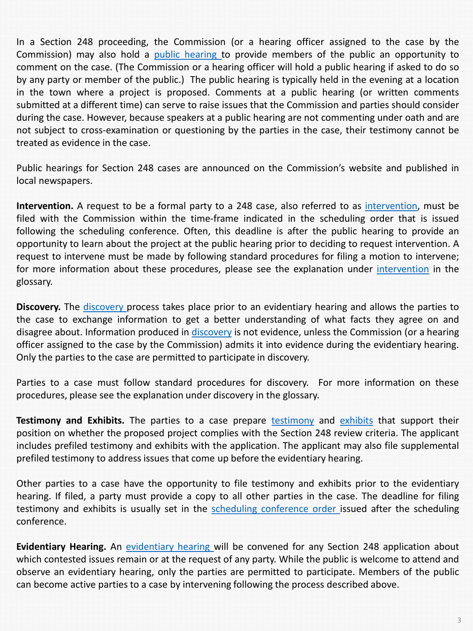<span id="page-2-0"></span>In a Section 248 proceeding, the Commission (or a hearing officer assigned to the case by the Commission) may also hold a public [hearing](http://puc.vermont.gov/public-participation/frequently-asked-questions/glossary-terms#public-hearing) to provide members of the public an opportunity to comment on the case. (The Commission or a hearing officer will hold a public hearing if asked to do so by any party or member of the public.) The public hearing is typically held in the evening at a location in the town where a project is proposed. Comments at a public hearing (or written comments submitted at a different time) can serve to raise issues that the Commission and parties should consider during the case. However, because speakers at a public hearing are not commenting under oath and are not subject to cross-examination or questioning by the parties in the case, their testimony cannot be treated as evidence in the case.

Public hearings for Section 248 cases are announced on the Commission's website and published in local newspapers.

**Intervention.** A request to be a formal party to a 248 case, also referred to as [intervention,](http://puc.vermont.gov/public-participation/frequently-asked-questions/glossary-terms#intervention) must be filed with the Commission within the time-frame indicated in the scheduling order that is issued following the scheduling conference. Often, this deadline is after the public hearing to provide an opportunity to learn about the project at the public hearing prior to deciding to request intervention. A request to intervene must be made by following standard procedures for filing a motion to intervene; for more information about these procedures, please see the explanation under [intervention](http://puc.vermont.gov/public-participation/frequently-asked-questions/glossary-terms#intervention) in the glossary.

**Discovery.** The [discovery](http://puc.vermont.gov/public-participation/frequently-asked-questions/glossary-terms#discovery) process takes place prior to an evidentiary hearing and allows the parties to the case to exchange information to get a better understanding of what facts they agree on and disagree about. Information produced in [discovery](http://puc.vermont.gov/public-participation/frequently-asked-questions/glossary-terms#discovery) is not evidence, unless the Commission (or a hearing officer assigned to the case by the Commission) admits it into evidence during the evidentiary hearing. Only the parties to the case are permitted to participate in discovery.

Parties to a case must follow standard procedures for discovery. For more information on these procedures, please see the explanation under discovery in the glossary.

**Testimony and Exhibits.** The parties to a case prepare [testimony](http://puc.vermont.gov/public-participation/frequently-asked-questions/glossary-terms#testimony) and [exhibits](http://puc.vermont.gov/public-participation/frequently-asked-questions/glossary-terms#exhibits) that support their position on whether the proposed project complies with the Section 248 review criteria. The applicant includes prefiled testimony and exhibits with the application. The applicant may also file supplemental prefiled testimony to address issues that come up before the evidentiary hearing.

Other parties to a case have the opportunity to file testimony and exhibits prior to the evidentiary hearing. If filed, a party must provide a copy to all other parties in the case. The deadline for filing testimony and exhibits is usually set in the scheduling [conference](https://puc.vermont.gov/public-participation/frequently-asked-questions/glossary-terms#h) order issued after the scheduling conference.

**Evidentiary Hearing.** An [evidentiary](http://puc.vermont.gov/public-participation/frequently-asked-questions/glossary-terms#technical-hearing) hearing will be convened for any Section 248 application about which contested issues remain or at the request of any party. While the public is welcome to attend and observe an evidentiary hearing, only the parties are permitted to participate. Members of the public can become active parties to a case by intervening following the process described above.